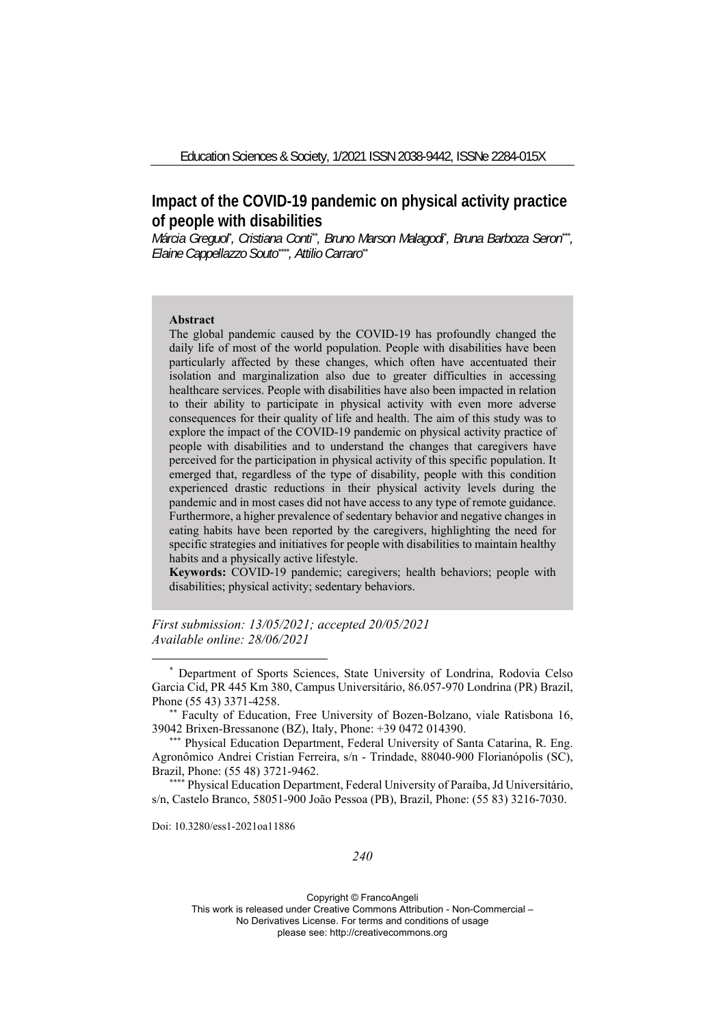# **Impact of the COVID-19 pandemic on physical activity practice of people with disabilities**

Márcia Greguol<sup>\*</sup>, Cristiana Conti<sup>\*\*</sup>, Bruno Marson Malagodi<sup>\*</sup>, Bruna Barboza Seron\*\*, *Elaine Cappellazzo Souto\*\*\*\*, Attilio Carraro\*\**

#### **Abstract**

The global pandemic caused by the COVID-19 has profoundly changed the daily life of most of the world population. People with disabilities have been particularly affected by these changes, which often have accentuated their isolation and marginalization also due to greater difficulties in accessing healthcare services. People with disabilities have also been impacted in relation to their ability to participate in physical activity with even more adverse consequences for their quality of life and health. The aim of this study was to explore the impact of the COVID-19 pandemic on physical activity practice of people with disabilities and to understand the changes that caregivers have perceived for the participation in physical activity of this specific population. It emerged that, regardless of the type of disability, people with this condition experienced drastic reductions in their physical activity levels during the pandemic and in most cases did not have access to any type of remote guidance. Furthermore, a higher prevalence of sedentary behavior and negative changes in eating habits have been reported by the caregivers, highlighting the need for specific strategies and initiatives for people with disabilities to maintain healthy habits and a physically active lifestyle.

**Keywords:** COVID-19 pandemic; caregivers; health behaviors; people with disabilities; physical activity; sedentary behaviors.

*First submission: 13/05/2021; accepted 20/05/2021 Available online: 28/06/2021* 

Doi: 10.3280/ess1-2021oa11886

### *240*

<sup>\*</sup> Department of Sports Sciences, State University of Londrina, Rodovia Celso Garcia Cid, PR 445 Km 380, Campus Universitário, 86.057-970 Londrina (PR) Brazil, Phone (55 43) 3371-4258.<br>\*\* Faculty of Education, Free University of Bozen-Bolzano, viale Ratisbona 16,

<sup>39042</sup> Brixen-Bressanone (BZ), Italy, Phone: +39 0472 014390. \*\*\* Physical Education Department, Federal University of Santa Catarina, R. Eng.

Agronômico Andrei Cristian Ferreira, s/n - Trindade, 88040-900 Florianópolis (SC), Brazil, Phone: (55 48) 3721-9462.<br>\*\*\*\* Physical Education Department, Federal University of Paraíba, Jd Universitário,

s/n, Castelo Branco, 58051-900 João Pessoa (PB), Brazil, Phone: (55 83) 3216-7030.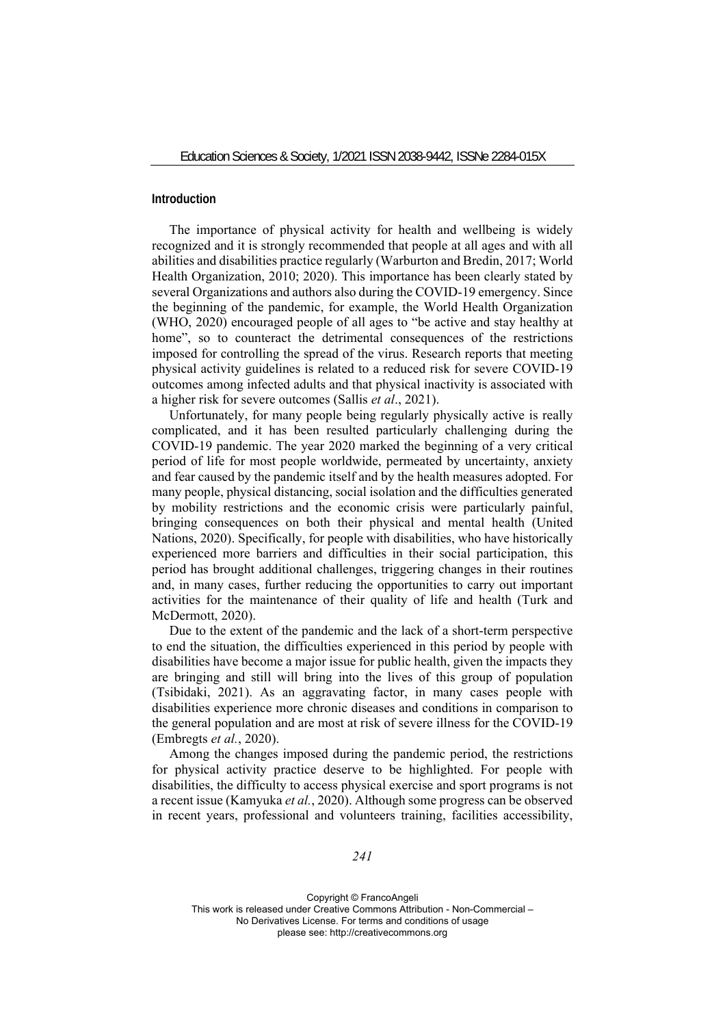## **Introduction**

The importance of physical activity for health and wellbeing is widely recognized and it is strongly recommended that people at all ages and with all abilities and disabilities practice regularly (Warburton and Bredin, 2017; World Health Organization, 2010; 2020). This importance has been clearly stated by several Organizations and authors also during the COVID-19 emergency. Since the beginning of the pandemic, for example, the World Health Organization (WHO, 2020) encouraged people of all ages to "be active and stay healthy at home", so to counteract the detrimental consequences of the restrictions imposed for controlling the spread of the virus. Research reports that meeting physical activity guidelines is related to a reduced risk for severe COVID-19 outcomes among infected adults and that physical inactivity is associated with a higher risk for severe outcomes (Sallis *et al*., 2021).

Unfortunately, for many people being regularly physically active is really complicated, and it has been resulted particularly challenging during the COVID-19 pandemic. The year 2020 marked the beginning of a very critical period of life for most people worldwide, permeated by uncertainty, anxiety and fear caused by the pandemic itself and by the health measures adopted. For many people, physical distancing, social isolation and the difficulties generated by mobility restrictions and the economic crisis were particularly painful, bringing consequences on both their physical and mental health (United Nations, 2020). Specifically, for people with disabilities, who have historically experienced more barriers and difficulties in their social participation, this period has brought additional challenges, triggering changes in their routines and, in many cases, further reducing the opportunities to carry out important activities for the maintenance of their quality of life and health (Turk and McDermott, 2020).

Due to the extent of the pandemic and the lack of a short-term perspective to end the situation, the difficulties experienced in this period by people with disabilities have become a major issue for public health, given the impacts they are bringing and still will bring into the lives of this group of population (Tsibidaki, 2021). As an aggravating factor, in many cases people with disabilities experience more chronic diseases and conditions in comparison to the general population and are most at risk of severe illness for the COVID-19 (Embregts *et al.*, 2020).

Among the changes imposed during the pandemic period, the restrictions for physical activity practice deserve to be highlighted. For people with disabilities, the difficulty to access physical exercise and sport programs is not a recent issue (Kamyuka *et al.*, 2020). Although some progress can be observed in recent years, professional and volunteers training, facilities accessibility,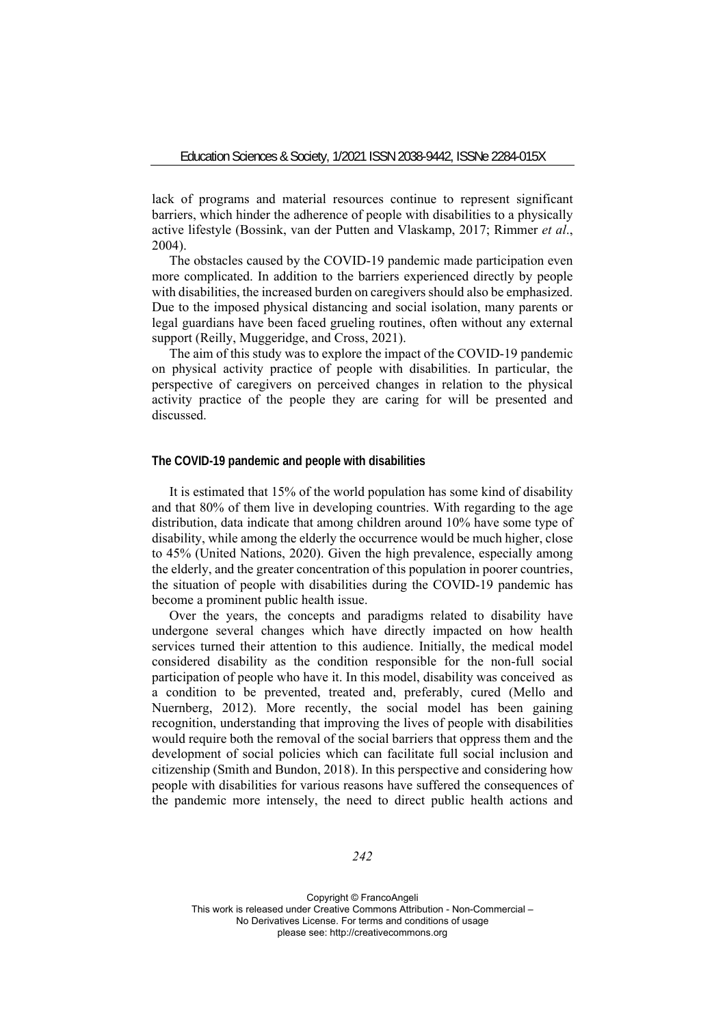lack of programs and material resources continue to represent significant barriers, which hinder the adherence of people with disabilities to a physically active lifestyle (Bossink, van der Putten and Vlaskamp, 2017; Rimmer *et al*., 2004).

The obstacles caused by the COVID-19 pandemic made participation even more complicated. In addition to the barriers experienced directly by people with disabilities, the increased burden on caregivers should also be emphasized. Due to the imposed physical distancing and social isolation, many parents or legal guardians have been faced grueling routines, often without any external support (Reilly, Muggeridge, and Cross, 2021).

The aim of this study was to explore the impact of the COVID-19 pandemic on physical activity practice of people with disabilities. In particular, the perspective of caregivers on perceived changes in relation to the physical activity practice of the people they are caring for will be presented and discussed.

#### **The COVID-19 pandemic and people with disabilities**

It is estimated that 15% of the world population has some kind of disability and that 80% of them live in developing countries. With regarding to the age distribution, data indicate that among children around 10% have some type of disability, while among the elderly the occurrence would be much higher, close to 45% (United Nations, 2020). Given the high prevalence, especially among the elderly, and the greater concentration of this population in poorer countries, the situation of people with disabilities during the COVID-19 pandemic has become a prominent public health issue.

Over the years, the concepts and paradigms related to disability have undergone several changes which have directly impacted on how health services turned their attention to this audience. Initially, the medical model considered disability as the condition responsible for the non-full social participation of people who have it. In this model, disability was conceived as a condition to be prevented, treated and, preferably, cured (Mello and Nuernberg, 2012). More recently, the social model has been gaining recognition, understanding that improving the lives of people with disabilities would require both the removal of the social barriers that oppress them and the development of social policies which can facilitate full social inclusion and citizenship (Smith and Bundon, 2018). In this perspective and considering how people with disabilities for various reasons have suffered the consequences of the pandemic more intensely, the need to direct public health actions and

*242*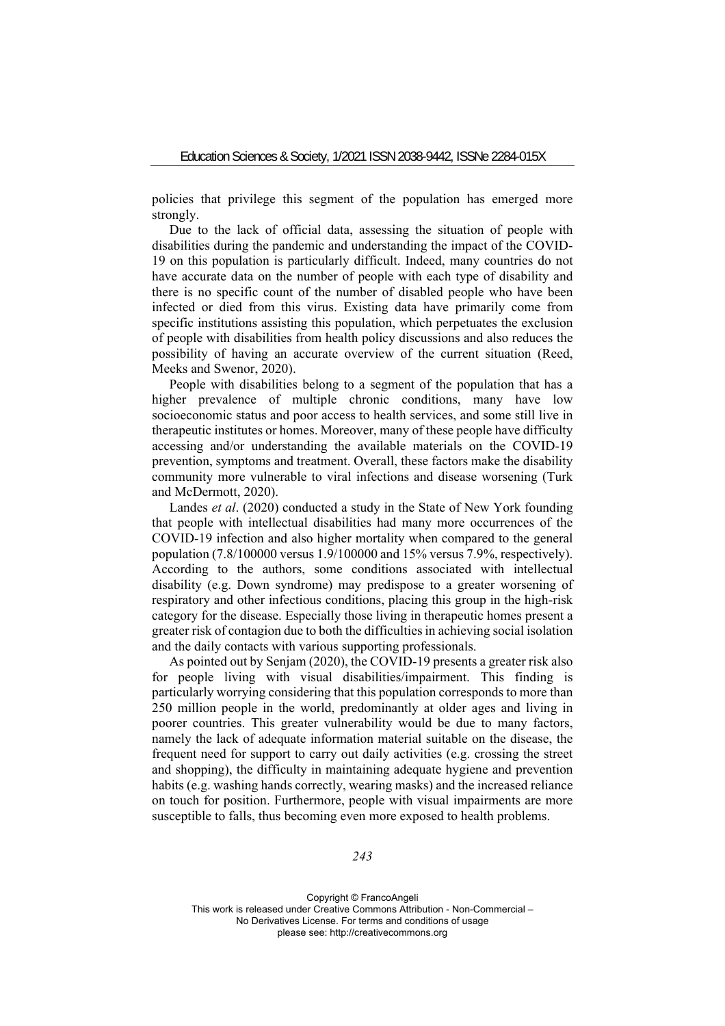policies that privilege this segment of the population has emerged more strongly.

Due to the lack of official data, assessing the situation of people with disabilities during the pandemic and understanding the impact of the COVID-19 on this population is particularly difficult. Indeed, many countries do not have accurate data on the number of people with each type of disability and there is no specific count of the number of disabled people who have been infected or died from this virus. Existing data have primarily come from specific institutions assisting this population, which perpetuates the exclusion of people with disabilities from health policy discussions and also reduces the possibility of having an accurate overview of the current situation (Reed, Meeks and Swenor, 2020).

People with disabilities belong to a segment of the population that has a higher prevalence of multiple chronic conditions, many have low socioeconomic status and poor access to health services, and some still live in therapeutic institutes or homes. Moreover, many of these people have difficulty accessing and/or understanding the available materials on the COVID-19 prevention, symptoms and treatment. Overall, these factors make the disability community more vulnerable to viral infections and disease worsening (Turk and McDermott, 2020).

Landes *et al*. (2020) conducted a study in the State of New York founding that people with intellectual disabilities had many more occurrences of the COVID-19 infection and also higher mortality when compared to the general population  $(7.8/100000 \text{ versus } 1.9/100000 \text{ and } 15\% \text{ versus } 7.9\% \text{, respectively}).$ According to the authors, some conditions associated with intellectual disability (e.g. Down syndrome) may predispose to a greater worsening of respiratory and other infectious conditions, placing this group in the high-risk category for the disease. Especially those living in therapeutic homes present a greater risk of contagion due to both the difficulties in achieving social isolation and the daily contacts with various supporting professionals.

As pointed out by Senjam (2020), the COVID-19 presents a greater risk also for people living with visual disabilities/impairment. This finding is particularly worrying considering that this population corresponds to more than 250 million people in the world, predominantly at older ages and living in poorer countries. This greater vulnerability would be due to many factors, namely the lack of adequate information material suitable on the disease, the frequent need for support to carry out daily activities (e.g. crossing the street and shopping), the difficulty in maintaining adequate hygiene and prevention habits (e.g. washing hands correctly, wearing masks) and the increased reliance on touch for position. Furthermore, people with visual impairments are more susceptible to falls, thus becoming even more exposed to health problems.

*243*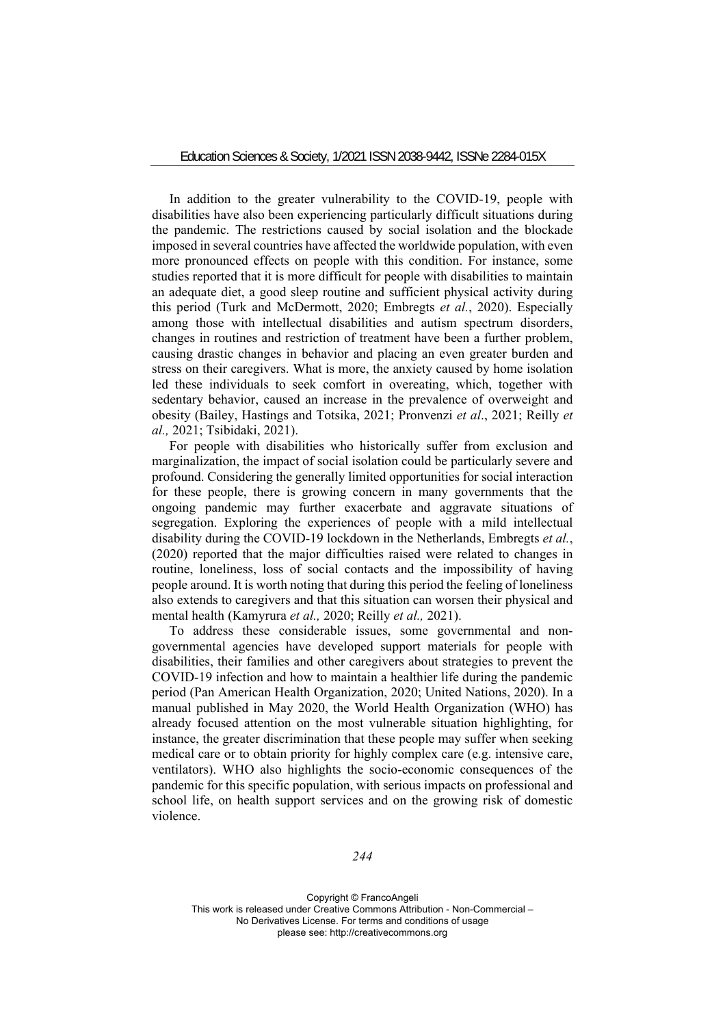In addition to the greater vulnerability to the COVID-19, people with disabilities have also been experiencing particularly difficult situations during the pandemic. The restrictions caused by social isolation and the blockade imposed in several countries have affected the worldwide population, with even more pronounced effects on people with this condition. For instance, some studies reported that it is more difficult for people with disabilities to maintain an adequate diet, a good sleep routine and sufficient physical activity during this period (Turk and McDermott, 2020; Embregts *et al.*, 2020). Especially among those with intellectual disabilities and autism spectrum disorders, changes in routines and restriction of treatment have been a further problem, causing drastic changes in behavior and placing an even greater burden and stress on their caregivers. What is more, the anxiety caused by home isolation led these individuals to seek comfort in overeating, which, together with sedentary behavior, caused an increase in the prevalence of overweight and obesity (Bailey, Hastings and Totsika, 2021; Pronvenzi *et al*., 2021; Reilly *et al.,* 2021; Tsibidaki, 2021).

For people with disabilities who historically suffer from exclusion and marginalization, the impact of social isolation could be particularly severe and profound. Considering the generally limited opportunities for social interaction for these people, there is growing concern in many governments that the ongoing pandemic may further exacerbate and aggravate situations of segregation. Exploring the experiences of people with a mild intellectual disability during the COVID-19 lockdown in the Netherlands, Embregts *et al.*, (2020) reported that the major difficulties raised were related to changes in routine, loneliness, loss of social contacts and the impossibility of having people around. It is worth noting that during this period the feeling of loneliness also extends to caregivers and that this situation can worsen their physical and mental health (Kamyrura *et al.,* 2020; Reilly *et al.,* 2021).

To address these considerable issues, some governmental and nongovernmental agencies have developed support materials for people with disabilities, their families and other caregivers about strategies to prevent the COVID-19 infection and how to maintain a healthier life during the pandemic period (Pan American Health Organization, 2020; United Nations, 2020). In a manual published in May 2020, the World Health Organization (WHO) has already focused attention on the most vulnerable situation highlighting, for instance, the greater discrimination that these people may suffer when seeking medical care or to obtain priority for highly complex care (e.g. intensive care, ventilators). WHO also highlights the socio-economic consequences of the pandemic for this specific population, with serious impacts on professional and school life, on health support services and on the growing risk of domestic violence.

*244*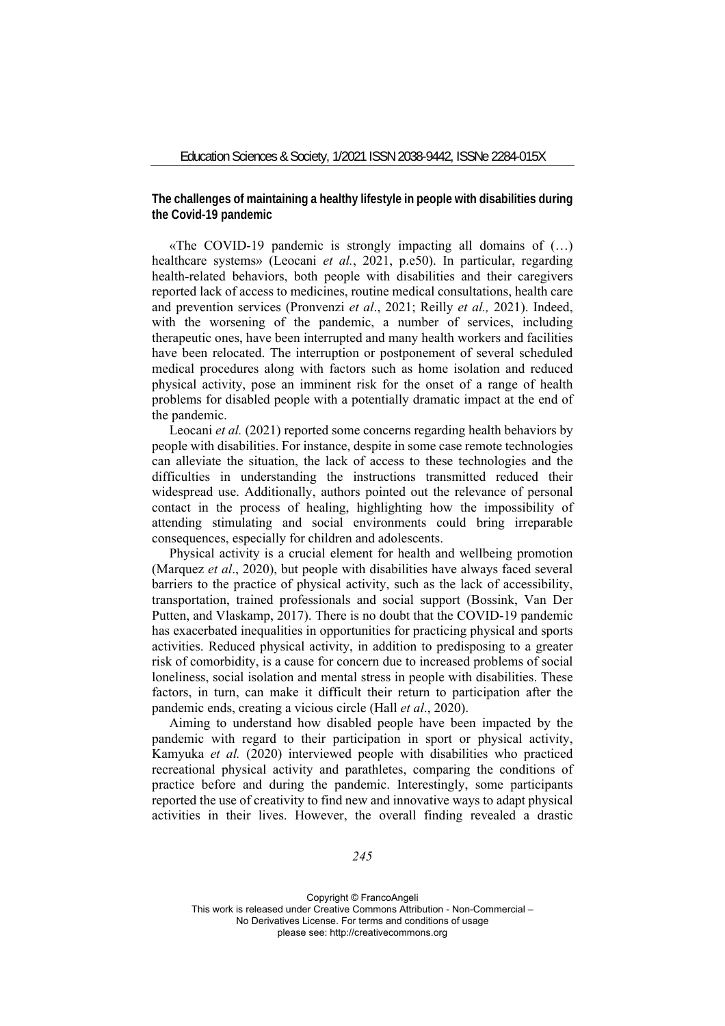**The challenges of maintaining a healthy lifestyle in people with disabilities during the Covid-19 pandemic** 

«The COVID-19 pandemic is strongly impacting all domains of (…) healthcare systems» (Leocani *et al.*, 2021, p.e50). In particular, regarding health-related behaviors, both people with disabilities and their caregivers reported lack of access to medicines, routine medical consultations, health care and prevention services (Pronvenzi *et al*., 2021; Reilly *et al.,* 2021). Indeed, with the worsening of the pandemic, a number of services, including therapeutic ones, have been interrupted and many health workers and facilities have been relocated. The interruption or postponement of several scheduled medical procedures along with factors such as home isolation and reduced physical activity, pose an imminent risk for the onset of a range of health problems for disabled people with a potentially dramatic impact at the end of the pandemic.

Leocani *et al.* (2021) reported some concerns regarding health behaviors by people with disabilities. For instance, despite in some case remote technologies can alleviate the situation, the lack of access to these technologies and the difficulties in understanding the instructions transmitted reduced their widespread use. Additionally, authors pointed out the relevance of personal contact in the process of healing, highlighting how the impossibility of attending stimulating and social environments could bring irreparable consequences, especially for children and adolescents.

Physical activity is a crucial element for health and wellbeing promotion (Marquez *et al*., 2020), but people with disabilities have always faced several barriers to the practice of physical activity, such as the lack of accessibility, transportation, trained professionals and social support (Bossink, Van Der Putten, and Vlaskamp, 2017). There is no doubt that the COVID-19 pandemic has exacerbated inequalities in opportunities for practicing physical and sports activities. Reduced physical activity, in addition to predisposing to a greater risk of comorbidity, is a cause for concern due to increased problems of social loneliness, social isolation and mental stress in people with disabilities. These factors, in turn, can make it difficult their return to participation after the pandemic ends, creating a vicious circle (Hall *et al*., 2020).

Aiming to understand how disabled people have been impacted by the pandemic with regard to their participation in sport or physical activity, Kamyuka *et al.* (2020) interviewed people with disabilities who practiced recreational physical activity and parathletes, comparing the conditions of practice before and during the pandemic. Interestingly, some participants reported the use of creativity to find new and innovative ways to adapt physical activities in their lives. However, the overall finding revealed a drastic

*245*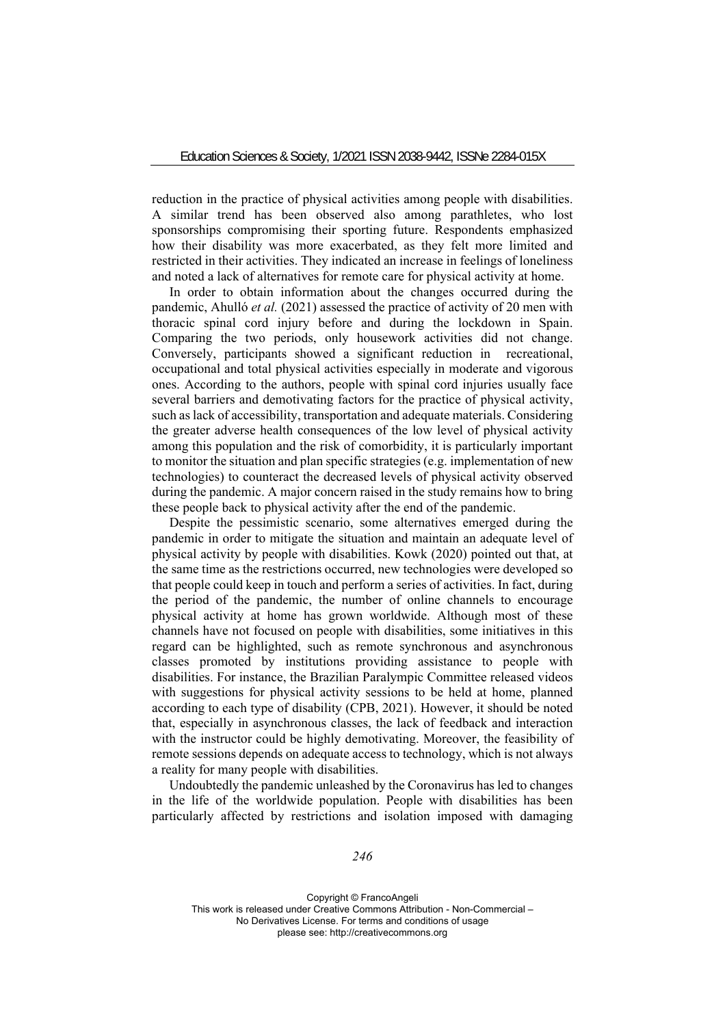reduction in the practice of physical activities among people with disabilities. A similar trend has been observed also among parathletes, who lost sponsorships compromising their sporting future. Respondents emphasized how their disability was more exacerbated, as they felt more limited and restricted in their activities. They indicated an increase in feelings of loneliness and noted a lack of alternatives for remote care for physical activity at home.

In order to obtain information about the changes occurred during the pandemic, Ahulló *et al.* (2021) assessed the practice of activity of 20 men with thoracic spinal cord injury before and during the lockdown in Spain. Comparing the two periods, only housework activities did not change. Conversely, participants showed a significant reduction in recreational, occupational and total physical activities especially in moderate and vigorous ones. According to the authors, people with spinal cord injuries usually face several barriers and demotivating factors for the practice of physical activity, such as lack of accessibility, transportation and adequate materials. Considering the greater adverse health consequences of the low level of physical activity among this population and the risk of comorbidity, it is particularly important to monitor the situation and plan specific strategies (e.g. implementation of new technologies) to counteract the decreased levels of physical activity observed during the pandemic. A major concern raised in the study remains how to bring these people back to physical activity after the end of the pandemic.

Despite the pessimistic scenario, some alternatives emerged during the pandemic in order to mitigate the situation and maintain an adequate level of physical activity by people with disabilities. Kowk (2020) pointed out that, at the same time as the restrictions occurred, new technologies were developed so that people could keep in touch and perform a series of activities. In fact, during the period of the pandemic, the number of online channels to encourage physical activity at home has grown worldwide. Although most of these channels have not focused on people with disabilities, some initiatives in this regard can be highlighted, such as remote synchronous and asynchronous classes promoted by institutions providing assistance to people with disabilities. For instance, the Brazilian Paralympic Committee released videos with suggestions for physical activity sessions to be held at home, planned according to each type of disability (CPB, 2021). However, it should be noted that, especially in asynchronous classes, the lack of feedback and interaction with the instructor could be highly demotivating. Moreover, the feasibility of remote sessions depends on adequate access to technology, which is not always a reality for many people with disabilities.

Undoubtedly the pandemic unleashed by the Coronavirus has led to changes in the life of the worldwide population. People with disabilities has been particularly affected by restrictions and isolation imposed with damaging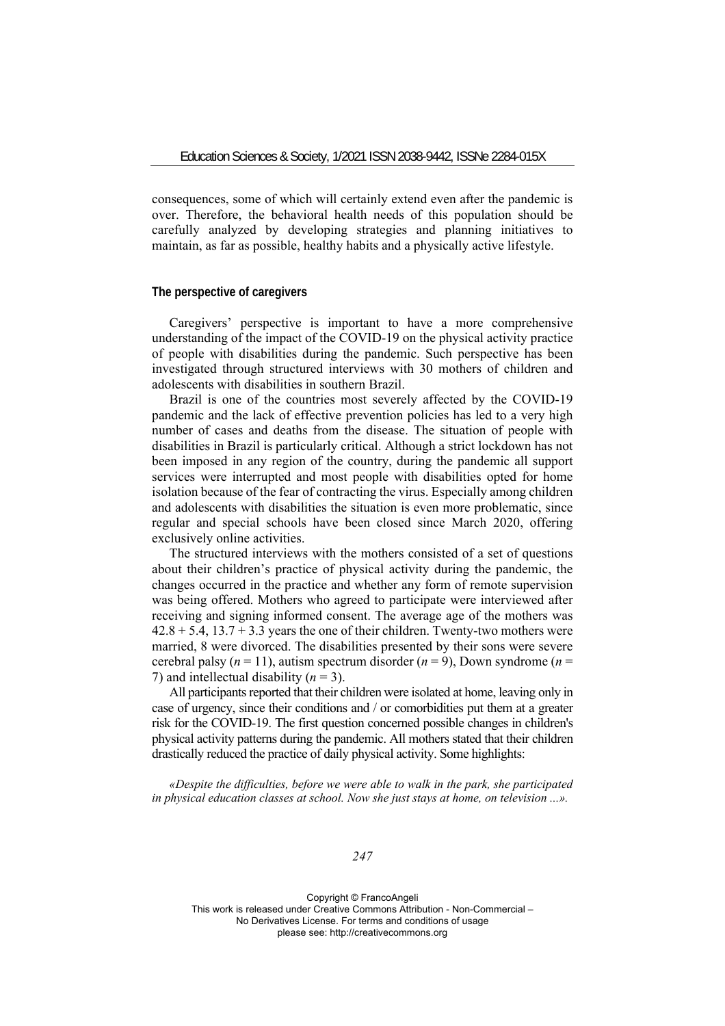consequences, some of which will certainly extend even after the pandemic is over. Therefore, the behavioral health needs of this population should be carefully analyzed by developing strategies and planning initiatives to maintain, as far as possible, healthy habits and a physically active lifestyle.

## **The perspective of caregivers**

Caregivers' perspective is important to have a more comprehensive understanding of the impact of the COVID-19 on the physical activity practice of people with disabilities during the pandemic. Such perspective has been investigated through structured interviews with 30 mothers of children and adolescents with disabilities in southern Brazil.

Brazil is one of the countries most severely affected by the COVID-19 pandemic and the lack of effective prevention policies has led to a very high number of cases and deaths from the disease. The situation of people with disabilities in Brazil is particularly critical. Although a strict lockdown has not been imposed in any region of the country, during the pandemic all support services were interrupted and most people with disabilities opted for home isolation because of the fear of contracting the virus. Especially among children and adolescents with disabilities the situation is even more problematic, since regular and special schools have been closed since March 2020, offering exclusively online activities.

The structured interviews with the mothers consisted of a set of questions about their children's practice of physical activity during the pandemic, the changes occurred in the practice and whether any form of remote supervision was being offered. Mothers who agreed to participate were interviewed after receiving and signing informed consent. The average age of the mothers was  $42.8 + 5.4$ ,  $13.7 + 3.3$  years the one of their children. Twenty-two mothers were married, 8 were divorced. The disabilities presented by their sons were severe cerebral palsy  $(n = 11)$ , autism spectrum disorder  $(n = 9)$ , Down syndrome  $(n = 11)$ 7) and intellectual disability  $(n = 3)$ .

All participants reported that their children were isolated at home, leaving only in case of urgency, since their conditions and / or comorbidities put them at a greater risk for the COVID-19. The first question concerned possible changes in children's physical activity patterns during the pandemic. All mothers stated that their children drastically reduced the practice of daily physical activity. Some highlights:

*«Despite the difficulties, before we were able to walk in the park, she participated in physical education classes at school. Now she just stays at home, on television ...».* 

*247*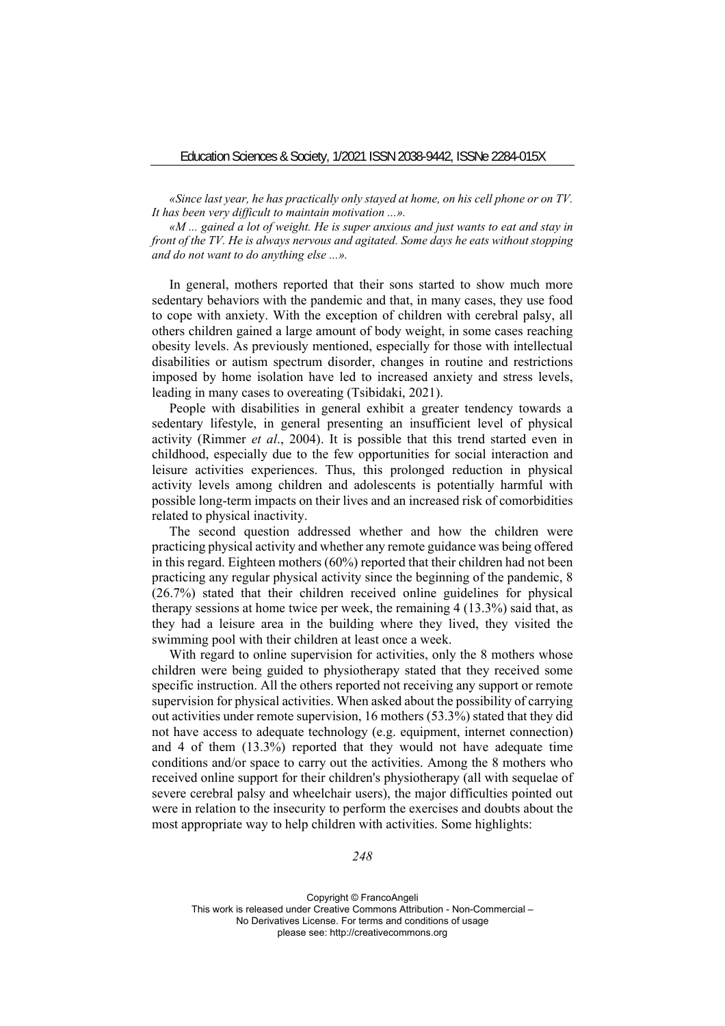*«Since last year, he has practically only stayed at home, on his cell phone or on TV. It has been very difficult to maintain motivation ...».* 

*«M ... gained a lot of weight. He is super anxious and just wants to eat and stay in front of the TV. He is always nervous and agitated. Some days he eats without stopping and do not want to do anything else ...».*

In general, mothers reported that their sons started to show much more sedentary behaviors with the pandemic and that, in many cases, they use food to cope with anxiety. With the exception of children with cerebral palsy, all others children gained a large amount of body weight, in some cases reaching obesity levels. As previously mentioned, especially for those with intellectual disabilities or autism spectrum disorder, changes in routine and restrictions imposed by home isolation have led to increased anxiety and stress levels, leading in many cases to overeating (Tsibidaki, 2021).

People with disabilities in general exhibit a greater tendency towards a sedentary lifestyle, in general presenting an insufficient level of physical activity (Rimmer *et al*., 2004). It is possible that this trend started even in childhood, especially due to the few opportunities for social interaction and leisure activities experiences. Thus, this prolonged reduction in physical activity levels among children and adolescents is potentially harmful with possible long-term impacts on their lives and an increased risk of comorbidities related to physical inactivity.

The second question addressed whether and how the children were practicing physical activity and whether any remote guidance was being offered in this regard. Eighteen mothers (60%) reported that their children had not been practicing any regular physical activity since the beginning of the pandemic, 8 (26.7%) stated that their children received online guidelines for physical therapy sessions at home twice per week, the remaining 4 (13.3%) said that, as they had a leisure area in the building where they lived, they visited the swimming pool with their children at least once a week.

With regard to online supervision for activities, only the 8 mothers whose children were being guided to physiotherapy stated that they received some specific instruction. All the others reported not receiving any support or remote supervision for physical activities. When asked about the possibility of carrying out activities under remote supervision, 16 mothers (53.3%) stated that they did not have access to adequate technology (e.g. equipment, internet connection) and 4 of them (13.3%) reported that they would not have adequate time conditions and/or space to carry out the activities. Among the 8 mothers who received online support for their children's physiotherapy (all with sequelae of severe cerebral palsy and wheelchair users), the major difficulties pointed out were in relation to the insecurity to perform the exercises and doubts about the most appropriate way to help children with activities. Some highlights:

*248*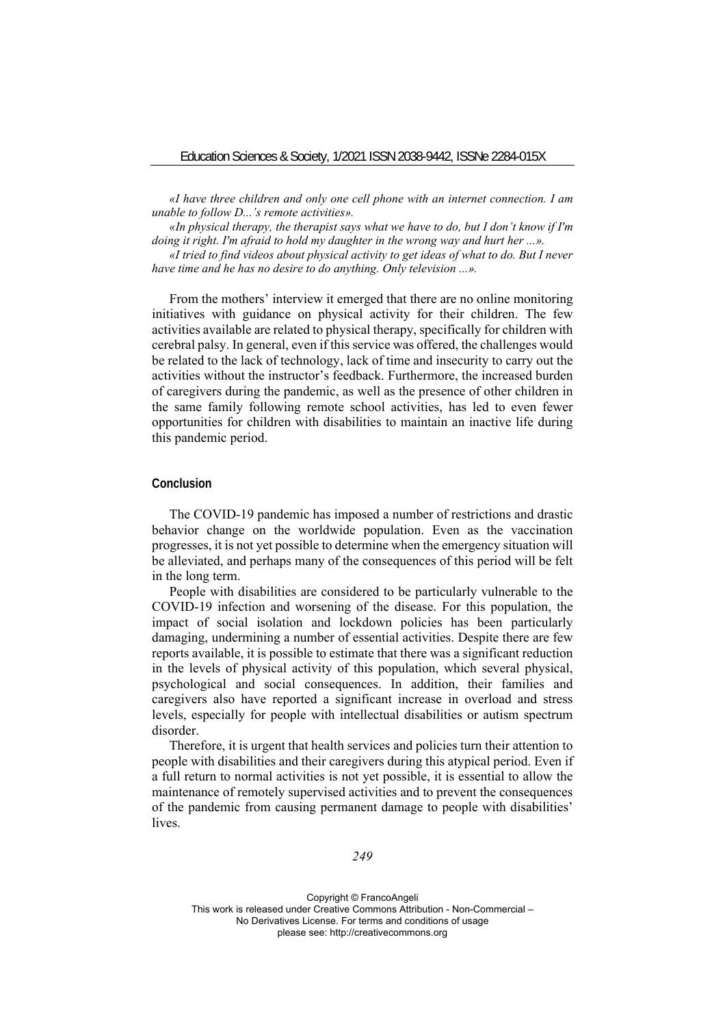*«I have three children and only one cell phone with an internet connection. I am unable to follow D...'s remote activities».* 

*«In physical therapy, the therapist says what we have to do, but I don't know if I'm doing it right. I'm afraid to hold my daughter in the wrong way and hurt her ...».* 

*«I tried to find videos about physical activity to get ideas of what to do. But I never have time and he has no desire to do anything. Only television ...».* 

From the mothers' interview it emerged that there are no online monitoring initiatives with guidance on physical activity for their children. The few activities available are related to physical therapy, specifically for children with cerebral palsy. In general, even if this service was offered, the challenges would be related to the lack of technology, lack of time and insecurity to carry out the activities without the instructor's feedback. Furthermore, the increased burden of caregivers during the pandemic, as well as the presence of other children in the same family following remote school activities, has led to even fewer opportunities for children with disabilities to maintain an inactive life during this pandemic period.

#### **Conclusion**

The COVID-19 pandemic has imposed a number of restrictions and drastic behavior change on the worldwide population. Even as the vaccination progresses, it is not yet possible to determine when the emergency situation will be alleviated, and perhaps many of the consequences of this period will be felt in the long term.

People with disabilities are considered to be particularly vulnerable to the COVID-19 infection and worsening of the disease. For this population, the impact of social isolation and lockdown policies has been particularly damaging, undermining a number of essential activities. Despite there are few reports available, it is possible to estimate that there was a significant reduction in the levels of physical activity of this population, which several physical, psychological and social consequences. In addition, their families and caregivers also have reported a significant increase in overload and stress levels, especially for people with intellectual disabilities or autism spectrum disorder.

Therefore, it is urgent that health services and policies turn their attention to people with disabilities and their caregivers during this atypical period. Even if a full return to normal activities is not yet possible, it is essential to allow the maintenance of remotely supervised activities and to prevent the consequences of the pandemic from causing permanent damage to people with disabilities' lives.

*249*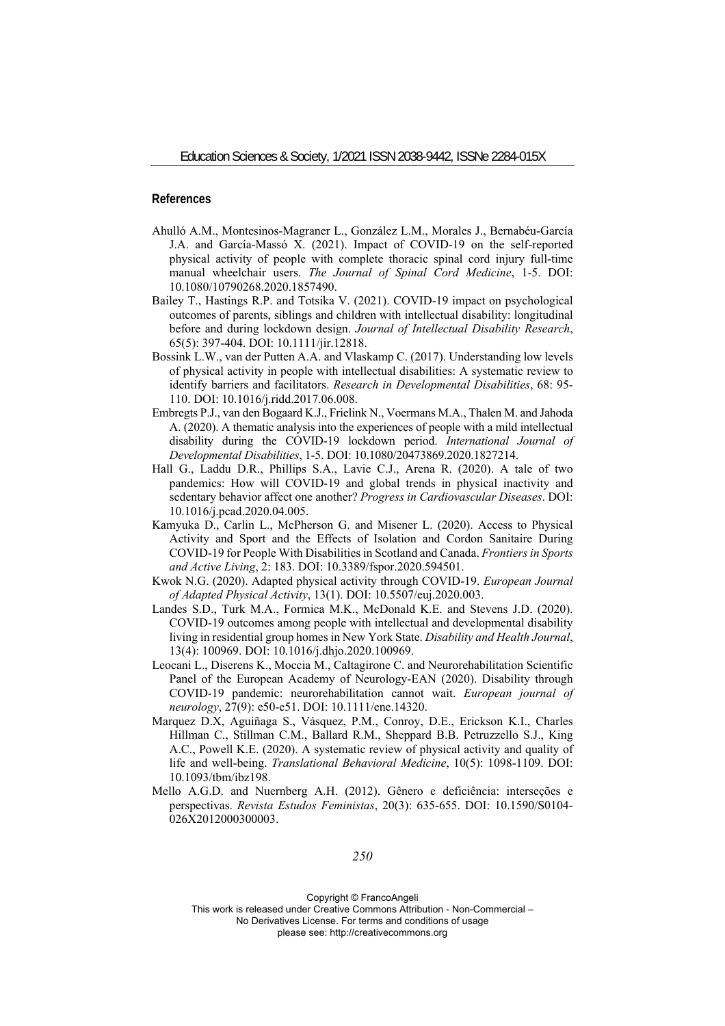## **References**

- Ahulló A.M., Montesinos-Magraner L., González L.M., Morales J., Bernabéu-García J.A. and García-Massó X. (2021). Impact of COVID-19 on the self-reported physical activity of people with complete thoracic spinal cord injury full-time manual wheelchair users. *The Journal of Spinal Cord Medicine*, 1-5. DOI: 10.1080/10790268.2020.1857490.
- Bailey T., Hastings R.P. and Totsika V. (2021). COVID‐19 impact on psychological outcomes of parents, siblings and children with intellectual disability: longitudinal before and during lockdown design. *Journal of Intellectual Disability Research*, 65(5): 397-404. DOI: 10.1111/jir.12818.
- Bossink L.W., van der Putten A.A. and Vlaskamp C. (2017). Understanding low levels of physical activity in people with intellectual disabilities: A systematic review to identify barriers and facilitators. *Research in Developmental Disabilities*, 68: 95- 110. DOI: 10.1016/j.ridd.2017.06.008.
- Embregts P.J., van den Bogaard K.J., Frielink N., Voermans M.A., Thalen M. and Jahoda A. (2020). A thematic analysis into the experiences of people with a mild intellectual disability during the COVID-19 lockdown period. *International Journal of Developmental Disabilities*, 1-5. DOI: 10.1080/20473869.2020.1827214.
- Hall G., Laddu D.R., Phillips S.A., Lavie C.J., Arena R. (2020). A tale of two pandemics: How will COVID-19 and global trends in physical inactivity and sedentary behavior affect one another? *Progress in Cardiovascular Diseases*. DOI: 10.1016/j.pcad.2020.04.005.
- Kamyuka D., Carlin L., McPherson G. and Misener L. (2020). Access to Physical Activity and Sport and the Effects of Isolation and Cordon Sanitaire During COVID-19 for People With Disabilities in Scotland and Canada. *Frontiers in Sports and Active Living*, 2: 183. DOI: 10.3389/fspor.2020.594501.
- Kwok N.G. (2020). Adapted physical activity through COVID-19. *European Journal of Adapted Physical Activity*, 13(1). DOI: 10.5507/euj.2020.003.
- Landes S.D., Turk M.A., Formica M.K., McDonald K.E. and Stevens J.D. (2020). COVID-19 outcomes among people with intellectual and developmental disability living in residential group homes in New York State. *Disability and Health Journal*, 13(4): 100969. DOI: 10.1016/j.dhjo.2020.100969.
- Leocani L., Diserens K., Moccia M., Caltagirone C. and Neurorehabilitation Scientific Panel of the European Academy of Neurology-EAN (2020). Disability through COVID‐19 pandemic: neurorehabilitation cannot wait. *European journal of neurology*, 27(9): e50-e51. DOI: 10.1111/ene.14320.
- Marquez D.X, Aguiñaga S., Vásquez, P.M., Conroy, D.E., Erickson K.I., Charles Hillman C., Stillman C.M., Ballard R.M., Sheppard B.B. Petruzzello S.J., King A.C., Powell K.E. (2020). A systematic review of physical activity and quality of life and well-being. *Translational Behavioral Medicine*, 10(5): 1098-1109. DOI: 10.1093/tbm/ibz198.
- Mello A.G.D. and Nuernberg A.H. (2012). Gênero e deficiência: interseções e perspectivas. *Revista Estudos Feministas*, 20(3): 635-655. DOI: 10.1590/S0104- 026X2012000300003.